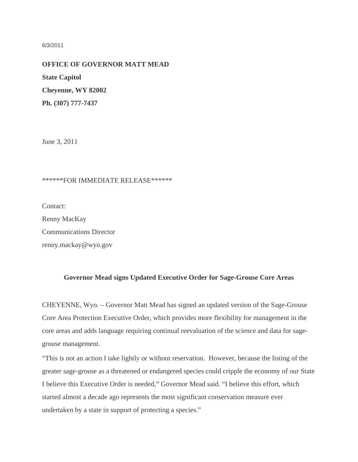## 6/3/2011

**OFFICE OF GOVERNOR MATT MEAD State Capitol Cheyenne, WY 82002 Ph. (307) 777-7437**

June 3, 2011

## \*\*\*\*\*\*FOR IMMEDIATE RELEASE\*\*\*\*\*\*

Contact:

Renny MacKay Communications Director renny.mackay@wyo.gov

## **Governor Mead signs Updated Executive Order for Sage-Grouse Core Areas**

CHEYENNE, Wyo. – Governor Matt Mead has signed an updated version of the Sage-Grouse Core Area Protection Executive Order, which provides more flexibility for management in the core areas and adds language requiring continual reevaluation of the science and data for sagegrouse management.

"This is not an action I take lightly or without reservation. However, because the listing of the greater sage-grouse as a threatened or endangered species could cripple the economy of our State I believe this Executive Order is needed," Governor Mead said. "I believe this effort, which started almost a decade ago represents the most significant conservation measure ever undertaken by a state in support of protecting a species."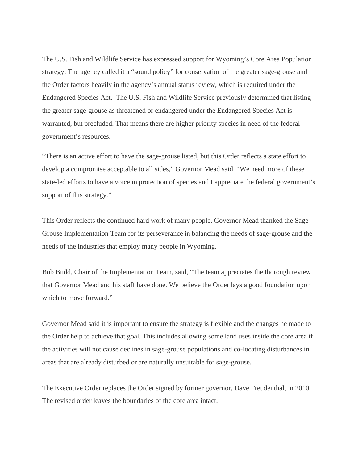The U.S. Fish and Wildlife Service has expressed support for Wyoming's Core Area Population strategy. The agency called it a "sound policy" for conservation of the greater sage-grouse and the Order factors heavily in the agency's annual status review, which is required under the Endangered Species Act. The U.S. Fish and Wildlife Service previously determined that listing the greater sage-grouse as threatened or endangered under the Endangered Species Act is warranted, but precluded. That means there are higher priority species in need of the federal government's resources.

"There is an active effort to have the sage-grouse listed, but this Order reflects a state effort to develop a compromise acceptable to all sides," Governor Mead said. "We need more of these state-led efforts to have a voice in protection of species and I appreciate the federal government's support of this strategy."

This Order reflects the continued hard work of many people. Governor Mead thanked the Sage-Grouse Implementation Team for its perseverance in balancing the needs of sage-grouse and the needs of the industries that employ many people in Wyoming.

Bob Budd, Chair of the Implementation Team, said, "The team appreciates the thorough review that Governor Mead and his staff have done. We believe the Order lays a good foundation upon which to move forward."

Governor Mead said it is important to ensure the strategy is flexible and the changes he made to the Order help to achieve that goal. This includes allowing some land uses inside the core area if the activities will not cause declines in sage-grouse populations and co-locating disturbances in areas that are already disturbed or are naturally unsuitable for sage-grouse.

The Executive Order replaces the Order signed by former governor, Dave Freudenthal, in 2010. The revised order leaves the boundaries of the core area intact.